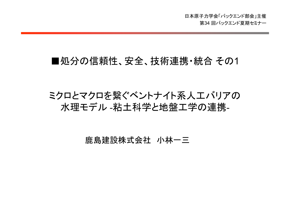## ■処分の信頼性、安全、技術連携・統合 その1

# ミクロとマクロを繋ぐベントナイト系人工バリアの 水理モデル -粘土科学と地盤工学の連携 -

鹿島建設株式会社 小林一三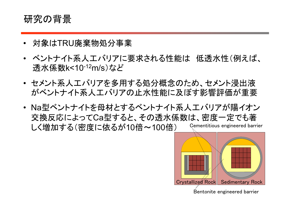# 研究の背景

- •対象はTRU廃棄物処分事業
- ベントナイト系人工バリアに要求される性能は 低透水性(例えば、 透水係数k<10-12m/s)など
- • セメント系人工バリアを多用する処分概念のため、セメント浸出液 がベントナイト系人工バリアの止水性能に及ぼす影響評価が重要
- Na型ベントナイトを母材とするベントナイト系人工バリアが陽イオン 交換反応によってCa型すると、その透水係数は、密度一定でも著 しく増加する(密度に依るが10倍~100倍) Cementitious engineered barrier

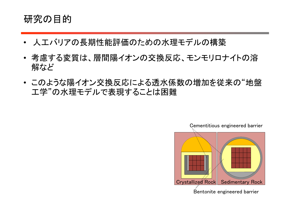# 研究の目的

- •人工バリアの長期性能評価のための水理モデルの構築
- 考慮する変質は、層間陽イオンの交換反応、モンモリロナイトの溶 解など
- このような陽イオン交換反応による透水係数の増加を従来の"地盤 工学"の水理モデルで表現することは困難

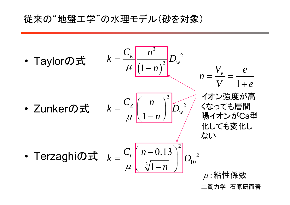# 従来の"地盤工学"の水理モデル(砂を対象)

• Taylor①式 
$$
k = \frac{C_k}{\mu} \frac{n^3}{(1-n)^2} D_w^2
$$
  
\n• Zunker①式  $k = \frac{C_Z}{\mu} \frac{n}{\frac{1-n}{1-n}} \frac{D_w^2}{D_w^2}$   
\n• Terzaghi①式  $k = \frac{C_Z}{\mu} \frac{n}{\frac{1-n}{1-n}} \frac{D_w^2}{D_w^2}$   
\n• Terzaghi①式  $k = \frac{C_t}{\mu} \frac{n-0.13}{\frac{3}{1-n}} \int_{0.2}^{2} D_{10}^2$   
\n•  $\mu$ :  $k = \frac{m}{\mu} \frac{n-0.13}{\frac{3}{1-n}} \left( \frac{n-0.13}{\frac{3}{1-n}} \right)^2 D_{10}^2$ 

土質力学 石原研而著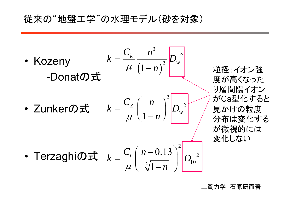# 従来の"地盤工学"の水理モデル(砂を対象)

• Kozeny -Donatの式

$$
k=\frac{C_k}{\mu}\frac{n^3}{\left(1-n\right)^2}D_w^2
$$

•Zunkerの式

$$
k = \frac{C_Z}{\mu} \left( \frac{n}{1-n} \right)^2 \boxed{D_w^2}
$$

粒径:イオン強 度が高くなった り層間陽イオン がCa型化する と 見かけの粒度 分布は変化する が微視的には 変化しない

• Terzaghi@
$$
\vec{x}
$$
  $k = \frac{C_t}{\mu} \left( \frac{n - 0.13}{\sqrt[3]{1 - n}} \right)^2 D_{10}^2$ 

土質力学 石原研而著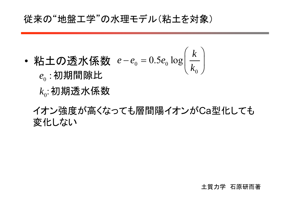# 従来の"地盤工学"の水理モデル(粘土を対象)

- •• 粘土の透水係数  $e-e_{\scriptscriptstyle 0}=0.5e_{\scriptscriptstyle 0}$  $\rm 0$  $e-e_0=0.5e_0 \log\left(\frac{k}{k}\right)$  $-e_0 = 0.5e_0 \log \left(\frac{k}{k_0}\right)$  $e_{_0}$  : 初期間隙比
	- $k_{\scriptscriptstyle 0}$ :初期透水係数
	- イオン強度が高くなっても層間陽イオンがCa型化しても 変化しない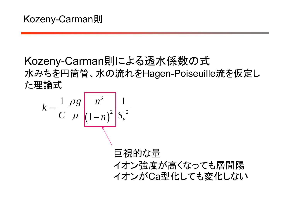# Kozeny-Carman則による透水係数の式 水みちを円筒管、水の流れをHagen-Poiseuille流を仮定し た理論式

$$
k = \frac{1}{C} \frac{\rho g}{\mu} \frac{n^3}{\left(1 - n\right)^2} \frac{1}{S_v^2}
$$

巨視的な量 イオン強度が高くなっても層間陽 イオンがCa型化しても変化しない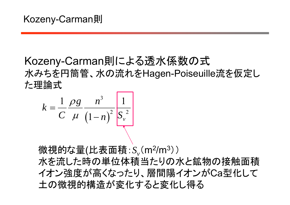# Kozeny-Carman則による透水係数の式 水みちを円筒管、水の流れをHagen-Poiseuille流を仮定し た理論式

$$
k = \frac{1}{C} \frac{\rho g}{\mu} \frac{n^3}{\left(1 - n\right)^2} \frac{1}{S_v^2}
$$

微視的な量(比表面積: S<sub>v</sub>(m<sup>2</sup>/m<sup>3</sup>))

水を流した時の単位体積当たりの水と鉱物の接触面積 イオン強度が高くなったり、層間陽イオンがCa型化して 土の微視的構造が変化すると変化し得る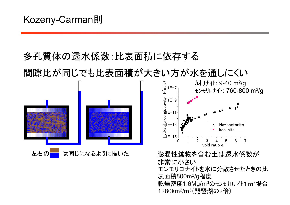# 多孔質体の透水係数:比表面積に依存する 間隙比が同じでも比表面積が大きい方が水を通しにくい

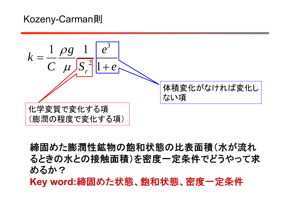# Kozeny-Carman則



締固めた膨潤性鉱物の飽和状態の比表面積(水が流れ るときの水との接触面積)を密度一定条件でどうやって求 めるか? Key word:締固めた状態、飽和状態、密度一定条件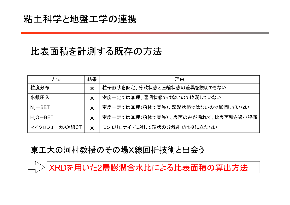# 粘土科学と地盤工学の連携

 $\Box$ 

# 比表面積を計測する既存の方法

| 方法            | 結果                        | 理由                                 |
|---------------|---------------------------|------------------------------------|
| 粒度分布          | $\bm{\times}$             | 粒子形状を仮定、分散状態と圧縮状態の差異を説明できない        |
| 水銀圧入          | $\bm{\times}$             | 密度一定では無理、湿潤状態ではないので膨潤していない         |
| $N_2 - BET$   | $\boldsymbol{\mathsf{X}}$ | 密度一定では無理(粉体で実施)、湿潤状態ではないので膨潤していない  |
| $H_2O-BET$    | $\bm{\times}$             | 密度一定では無理(粉体で実施)、表面のみが濡れて、比表面積を過小評価 |
| マイクロフォーカスX線CT | $\boldsymbol{\mathsf{X}}$ | モンモリロナイトに対して現状の分解能では役に立たない         |

#### 東工大の河村教授のその場X線回折技術と出会う

XRDを用いた2層膨潤含水比による比表面積の算出方法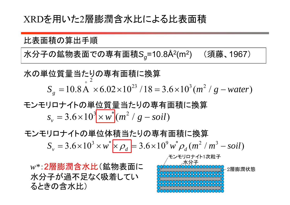# XRDを用いた2層膨潤含水比による比表面積

比表面積の算出手順

水分子の鉱物表面での専有面積S<sub>a</sub>=10.8Å<sup>2</sup>(m<sup>2</sup>) (須藤、1967)

2 $S_g = 10.8$  A  $\times 6.02 \times 10^{23}$  / 18 =  $3.6 \times 10^3$  (m<sup>2</sup> / g – water) O 水の単位質量当たりの専有面積に換算

 $s_v = 3.6 \times 10^3 \times w^* (m^2 / g - \textit{soil})$ モンモリロナイトの単位質量当たりの専有面積に換算

 $S_v = 3.6 \times 10^3 \times w^* \times \rho_d = 3.6 \times 10^9 w^* \rho_d (m^2/m^3 - \text{solid})$ モンモリロナイトの単位体積当たりの専有面積に換算

*<sup>w</sup>\**:2層膨潤含水比(鉱物表面に 水分子が過不足なく吸着してい るときの含水比)

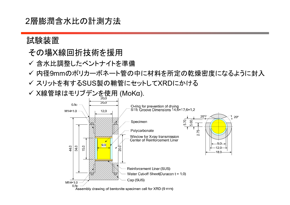2層膨潤含水比の計測方法

#### 試験装置

#### その場X線回折技術を援用

- ✔ 含水比調整したベントナイトを準備
- 内径9mmのポリカーボネート管の中に材料を所定の乾燥密度になるように封入
- スリットを有するSUS製の鞘管にセットしてXRDにかける

<sup>X</sup>線管球はモリブデンを使用 (MoKα).

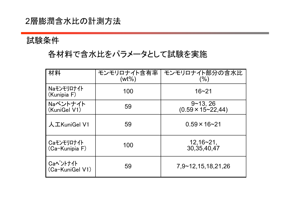#### 2層膨潤含水比の計測方法

#### 試験条件

## 各材料で含水比をパラメータとして試験を実施

| 材料                           | モンモリロナイト含有率<br>$(wt\%)$ | モンモリロナイト部分の含水比<br>$( \% )$                      |
|------------------------------|-------------------------|-------------------------------------------------|
| Naモンモリロナイト<br>(Kunipia F)    | 100                     | $16 - 21$                                       |
| Naベントナイト<br>(KuniGel V1)     | 59                      | $9 - 13, 26$<br>$(0.59 \times 15 \times 22,44)$ |
| 人工KuniGel V1                 | 59                      | $0.59 \times 16 - 21$                           |
| Caモンモリロナイト<br>(Ca-Kunipia F) | 100                     | $12,16 - 21,$<br>30, 35, 40, 47                 |
| Caベントナイト<br>(Ca-KuniGel V1)  | 59                      | 7,9~12,15,18,21,26                              |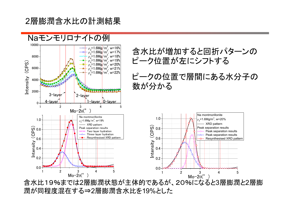2層膨潤含水比の計測結果



含水比19%までは 2層膨潤状態が主体的であるが、20%になると 3層膨潤と 2層膨 潤が同程度混在する ⇒ 2層膨潤含水比を19%とした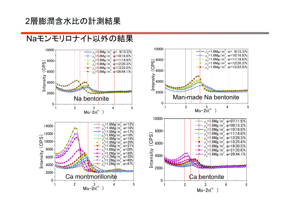#### 2層膨潤含水比の計測結果

#### Naモンモリロナイト以外の結果



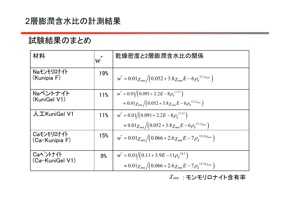#### 2層膨潤含水比の計測結果

#### 試験結果のまとめ

| 材料                           | $\mathcal W$ | 乾燥密度と2層膨潤含水比の関係                                                                                                                           |
|------------------------------|--------------|-------------------------------------------------------------------------------------------------------------------------------------------|
| Naモンモリロナイト<br>(Kunipia F)    | 19%          | $w^* = 0.01 \chi_{mn}/(0.052 + 3.8 \chi_{mn} E - 6 \rho_d^{12.1 \chi_{mn}})$                                                              |
| Naベントナイト<br>(KuniGel V1)     | 11%          | $w^* = 0.01/(0.091 + 2.2E - 8\rho_d^{17.57})$<br>$\approx 0.01 \chi_{mnt} \sqrt{(0.052 + 3.8 \chi_{mnt} E - 6 \rho_d^{12.1 \chi_{mnt}})}$ |
| 人工KuniGel V1                 | 11%          | $w^* = 0.01/(0.091 + 2.2E - 8\rho_d^{17.57})$<br>$\approx 0.01 \chi_{mnt} \sqrt{(0.052 + 3.8 \chi_{mnt} E - 6 \rho_d^{12.1 \chi_{mnt}})}$ |
| Caモンモリロナイト<br>(Ca-Kunipia F) | 15%          | $w^* = 0.01 \chi_{mnt} \left/ \left(0.066 + 2.6 \chi_{mnt} E - 7 \rho_d^{15.16 \chi_{mnt}}\right)\right.$                                 |
| Caべントナイト<br>(Ca-KuniGel V1)  | 9%           | $w^* = 0.01/(0.11 + 3.9E - 11\rho_d^{24.5})$<br>$\approx 0.01 \chi_{mnt} \sqrt{(0.066 + 2.6 \chi_{mnt} E - 7 \rho_d^{15.16 \chi_{mnt}})}$ |

 $\mathcal{X}_{\mathit{mnt}}$  : モンモリロナイト含有率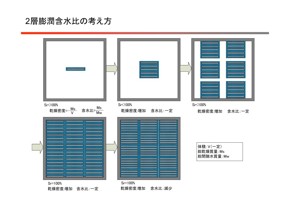#### 2層膨潤含水比の考え方

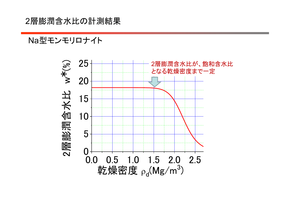#### 2層膨潤含水比の計測結果

#### Na型モンモリロナイト

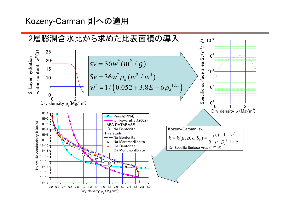#### Kozeny-Carman 則への適用

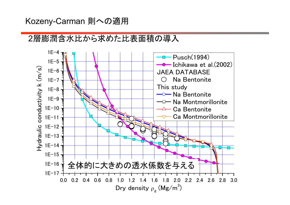#### Kozeny-Carman 則への適用

### 2層膨潤含水比から求めた比表面積の導入

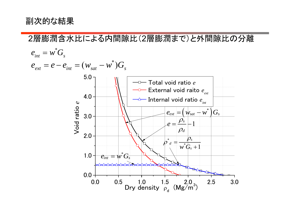#### 副次的な結果

2層膨潤含水比による内間隙比( 2層膨潤まで)と外間隙比の分離  $e^{\iint} = w^* G_s$  $e_{ext} = e - e_{int} = ( w_{sat} - w^{*}) G_{s}$ 5.0 Total void ratio *e* External void raito *e ext* 4.0  $\cdot$ Internal void ratio  $e_{_{int}}$ Void ratio e Void ratio *e*  $e_{ext} = (w_{sat} - w^*)G_s$ 3.0  $\_$   $\rho_{\scriptscriptstyle \!\! \mu}$  $e = \frac{\mu_s}{\sigma}$  $-1$  $\rho_{\scriptscriptstyle d}$ 2.0  $\rho$ \**s*  $\rho$ *d*  $^*G_s + 1$  $w^{\cdot}G_{s}$  $\hspace{.08cm} +$  $e_{\mathit{int}} = \overline{w^*} G_s$ 1.0 0.0 0.0 0.5 1.0 1.5 2.0 2.5 3.0 Dry density  $\rho_{\rm d}^{\rm u}$  (Mg/m<sup>3</sup>)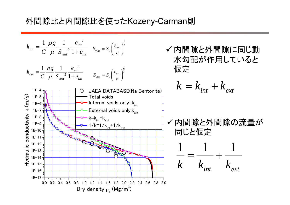#### 外間隙比と内間隙比を使ったKozeny-Carman 則